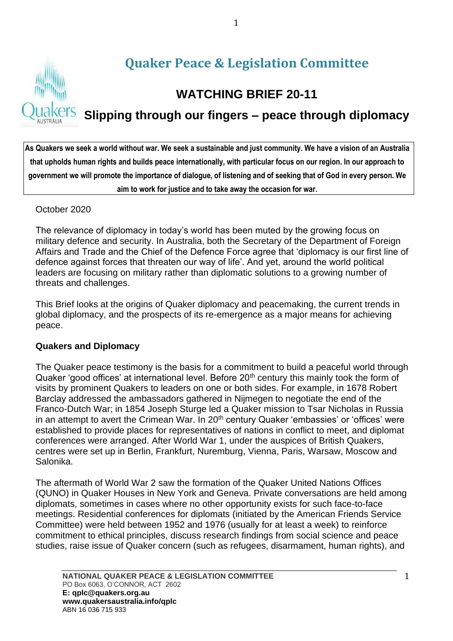

# **Slipping through our fingers – peace through diplomacy**

**As Quakers we seek a world without war. We seek a sustainable and just community. We have a vision of an Australia that upholds human rights and builds peace internationally, with particular focus on our region. In our approach to government we will promote the importance of dialogue, of listening and of seeking that of God in every person. We aim to work for justice and to take away the occasion for war.**

#### October 2020

The relevance of diplomacy in today's world has been muted by the growing focus on military defence and security. In Australia, both the Secretary of the Department of Foreign Affairs and Trade and the Chief of the Defence Force agree that 'diplomacy is our first line of defence against forces that threaten our way of life'. And yet, around the world political leaders are focusing on military rather than diplomatic solutions to a growing number of threats and challenges.

This Brief looks at the origins of Quaker diplomacy and peacemaking, the current trends in global diplomacy, and the prospects of its re-emergence as a major means for achieving peace.

#### **Quakers and Diplomacy**

The Quaker peace testimony is the basis for a commitment to build a peaceful world through Quaker 'good offices' at international level. Before 20<sup>th</sup> century this mainly took the form of visits by prominent Quakers to leaders on one or both sides. For example, in 1678 Robert Barclay addressed the ambassadors gathered in Nijmegen to negotiate the end of the Franco-Dutch War; in 1854 Joseph Sturge led a Quaker mission to Tsar Nicholas in Russia in an attempt to avert the Crimean War. In  $20<sup>th</sup>$  century Quaker 'embassies' or 'offices' were established to provide places for representatives of nations in conflict to meet, and diplomat conferences were arranged. After World War 1, under the auspices of British Quakers, centres were set up in Berlin, Frankfurt, Nuremburg, Vienna, Paris, Warsaw, Moscow and Salonika.

The aftermath of World War 2 saw the formation of the Quaker United Nations Offices (QUNO) in Quaker Houses in New York and Geneva. Private conversations are held among diplomats, sometimes in cases where no other opportunity exists for such face-to-face meetings. Residential conferences for diplomats (initiated by the American Friends Service Committee) were held between 1952 and 1976 (usually for at least a week) to reinforce commitment to ethical principles, discuss research findings from social science and peace studies, raise issue of Quaker concern (such as refugees, disarmament, human rights), and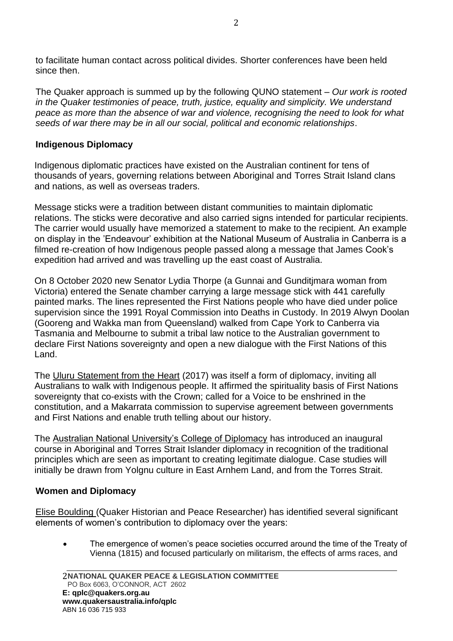to facilitate human contact across political divides. Shorter conferences have been held since then.

The Quaker approach is summed up by the following QUNO statement – *Our work is rooted in the Quaker testimonies of peace, truth, justice, equality and simplicity. We understand peace as more than the absence of war and violence, recognising the need to look for what seeds of war there may be in all our social, political and economic relationships*.

## **Indigenous Diplomacy**

Indigenous diplomatic practices have existed on the Australian continent for tens of thousands of years, governing relations between Aboriginal and Torres Strait Island clans and nations, as well as overseas traders.

Message sticks were a tradition between distant communities to maintain diplomatic relations. The sticks were decorative and also carried signs intended for particular recipients. The carrier would usually have memorized a statement to make to the recipient. An example on display in the 'Endeavour' exhibition at the National Museum of Australia in Canberra is a filmed re-creation of how Indigenous people passed along a message that James Cook's expedition had arrived and was travelling up the east coast of Australia.

On 8 October 2020 new Senator Lydia Thorpe (a Gunnai and Gunditjmara woman from Victoria) entered the Senate chamber carrying a large message stick with 441 carefully painted marks. The lines represented the First Nations people who have died under police supervision since the 1991 Royal Commission into Deaths in Custody. In 2019 Alwyn Doolan (Gooreng and Wakka man from Queensland) walked from Cape York to Canberra via Tasmania and Melbourne to submit a tribal law notice to the Australian government to declare First Nations sovereignty and open a new dialogue with the First Nations of this Land.

The Uluru Statement from the Heart (2017) was itself a form of diplomacy, inviting all Australians to walk with Indigenous people. It affirmed the spirituality basis of First Nations sovereignty that co-exists with the Crown; called for a Voice to be enshrined in the constitution, and a Makarrata commission to supervise agreement between governments and First Nations and enable truth telling about our history.

The Australian National University's College of Diplomacy has introduced an inaugural course in Aboriginal and Torres Strait Islander diplomacy in recognition of the traditional principles which are seen as important to creating legitimate dialogue. Case studies will initially be drawn from Yolgnu culture in East Arnhem Land, and from the Torres Strait.

# **Women and Diplomacy**

Elise Boulding (Quaker Historian and Peace Researcher) has identified several significant elements of women's contribution to diplomacy over the years:

• The emergence of women's peace societies occurred around the time of the Treaty of Vienna (1815) and focused particularly on militarism, the effects of arms races, and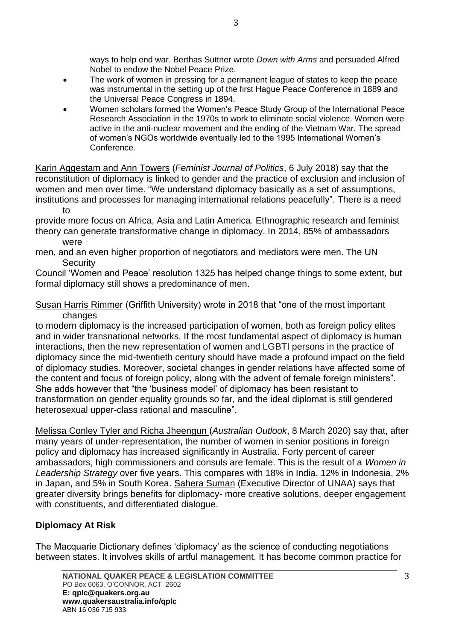ways to help end war. Berthas Suttner wrote *Down with Arms* and persuaded Alfred Nobel to endow the Nobel Peace Prize.

- The work of women in pressing for a permanent league of states to keep the peace was instrumental in the setting up of the first Hague Peace Conference in 1889 and the Universal Peace Congress in 1894.
- Women scholars formed the Women's Peace Study Group of the International Peace Research Association in the 1970s to work to eliminate social violence. Women were active in the anti-nuclear movement and the ending of the Vietnam War. The spread of women's NGOs worldwide eventually led to the 1995 International Women's Conference.

Karin Aggestam and Ann Towers (*Feminist Journal of Politics*, 6 July 2018) say that the reconstitution of diplomacy is linked to gender and the practice of exclusion and inclusion of women and men over time. "We understand diplomacy basically as a set of assumptions, institutions and processes for managing international relations peacefully". There is a need to

provide more focus on Africa, Asia and Latin America. Ethnographic research and feminist theory can generate transformative change in diplomacy. In 2014, 85% of ambassadors were

men, and an even higher proportion of negotiators and mediators were men. The UN **Security** 

Council 'Women and Peace' resolution 1325 has helped change things to some extent, but formal diplomacy still shows a predominance of men.

Susan Harris Rimmer (Griffith University) wrote in 2018 that "one of the most important changes

to modern diplomacy is the increased participation of women, both as foreign policy elites and in wider transnational networks. If the most fundamental aspect of diplomacy is human interactions, then the new representation of women and LGBTI persons in the practice of diplomacy since the mid-twentieth century should have made a profound impact on the field of diplomacy studies. Moreover, societal changes in gender relations have affected some of the content and focus of foreign policy, along with the advent of female foreign ministers". She adds however that "the 'business model' of diplomacy has been resistant to transformation on gender equality grounds so far, and the ideal diplomat is still gendered heterosexual upper-class rational and masculine".

Melissa Conley Tyler and Richa Jheengun (*Australian Outlook*, 8 March 2020) say that, after many years of under-representation, the number of women in senior positions in foreign policy and diplomacy has increased significantly in Australia. Forty percent of career ambassadors, high commissioners and consuls are female. This is the result of a *Women in Leadership Strategy* over five years. This compares with 18% in India, 12% in Indonesia, 2% in Japan, and 5% in South Korea. Sahera Suman (Executive Director of UNAA) says that greater diversity brings benefits for diplomacy- more creative solutions, deeper engagement with constituents, and differentiated dialogue.

# **Diplomacy At Risk**

The Macquarie Dictionary defines 'diplomacy' as the science of conducting negotiations between states. It involves skills of artful management. It has become common practice for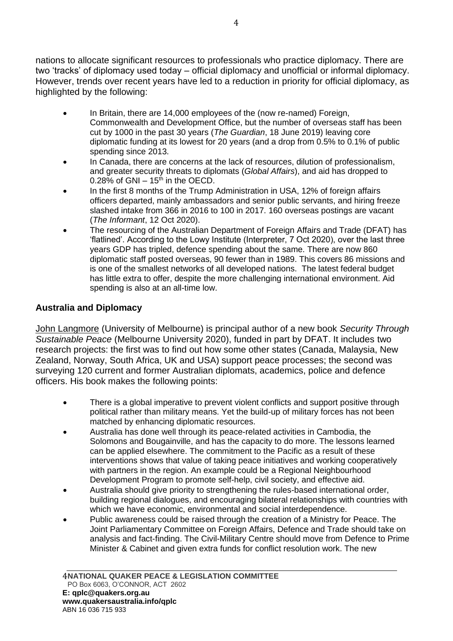nations to allocate significant resources to professionals who practice diplomacy. There are two 'tracks' of diplomacy used today – official diplomacy and unofficial or informal diplomacy. However, trends over recent years have led to a reduction in priority for official diplomacy, as highlighted by the following:

- In Britain, there are 14,000 employees of the (now re-named) Foreign, Commonwealth and Development Office, but the number of overseas staff has been cut by 1000 in the past 30 years (*The Guardian*, 18 June 2019) leaving core diplomatic funding at its lowest for 20 years (and a drop from 0.5% to 0.1% of public spending since 2013.
- In Canada, there are concerns at the lack of resources, dilution of professionalism, and greater security threats to diplomats (*Global Affairs*), and aid has dropped to  $0.28\%$  of GNI – 15<sup>th</sup> in the OECD.
- In the first 8 months of the Trump Administration in USA, 12% of foreign affairs officers departed, mainly ambassadors and senior public servants, and hiring freeze slashed intake from 366 in 2016 to 100 in 2017. 160 overseas postings are vacant (*The Informant*, 12 Oct 2020).
- The resourcing of the Australian Department of Foreign Affairs and Trade (DFAT) has 'flatlined'. According to the Lowy Institute (Interpreter, 7 Oct 2020), over the last three years GDP has tripled, defence spending about the same. There are now 860 diplomatic staff posted overseas, 90 fewer than in 1989. This covers 86 missions and is one of the smallest networks of all developed nations. The latest federal budget has little extra to offer, despite the more challenging international environment. Aid spending is also at an all-time low.

### **Australia and Diplomacy**

John Langmore (University of Melbourne) is principal author of a new book *Security Through Sustainable Peace* (Melbourne University 2020), funded in part by DFAT. It includes two research projects: the first was to find out how some other states (Canada, Malaysia, New Zealand, Norway, South Africa, UK and USA) support peace processes; the second was surveying 120 current and former Australian diplomats, academics, police and defence officers. His book makes the following points:

- There is a global imperative to prevent violent conflicts and support positive through political rather than military means. Yet the build-up of military forces has not been matched by enhancing diplomatic resources.
- Australia has done well through its peace-related activities in Cambodia, the Solomons and Bougainville, and has the capacity to do more. The lessons learned can be applied elsewhere. The commitment to the Pacific as a result of these interventions shows that value of taking peace initiatives and working cooperatively with partners in the region. An example could be a Regional Neighbourhood Development Program to promote self-help, civil society, and effective aid.
- Australia should give priority to strengthening the rules-based international order, building regional dialogues, and encouraging bilateral relationships with countries with which we have economic, environmental and social interdependence.
- Public awareness could be raised through the creation of a Ministry for Peace. The Joint Parliamentary Committee on Foreign Affairs, Defence and Trade should take on analysis and fact-finding. The Civil-Military Centre should move from Defence to Prime Minister & Cabinet and given extra funds for conflict resolution work. The new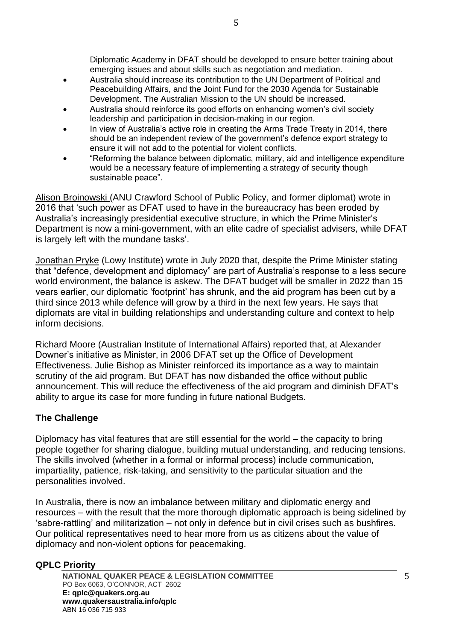Diplomatic Academy in DFAT should be developed to ensure better training about emerging issues and about skills such as negotiation and mediation.

- Australia should increase its contribution to the UN Department of Political and Peacebuilding Affairs, and the Joint Fund for the 2030 Agenda for Sustainable Development. The Australian Mission to the UN should be increased.
- Australia should reinforce its good efforts on enhancing women's civil society leadership and participation in decision-making in our region.
- In view of Australia's active role in creating the Arms Trade Treaty in 2014, there should be an independent review of the government's defence export strategy to ensure it will not add to the potential for violent conflicts.
- "Reforming the balance between diplomatic, military, aid and intelligence expenditure would be a necessary feature of implementing a strategy of security though sustainable peace".

Alison Broinowski (ANU Crawford School of Public Policy, and former diplomat) wrote in 2016 that 'such power as DFAT used to have in the bureaucracy has been eroded by Australia's increasingly presidential executive structure, in which the Prime Minister's Department is now a mini-government, with an elite cadre of specialist advisers, while DFAT is largely left with the mundane tasks'.

Jonathan Pryke (Lowy Institute) wrote in July 2020 that, despite the Prime Minister stating that "defence, development and diplomacy" are part of Australia's response to a less secure world environment, the balance is askew. The DFAT budget will be smaller in 2022 than 15 vears earlier, our diplomatic 'footprint' has shrunk, and the aid program has been cut by a third since 2013 while defence will grow by a third in the next few years. He says that diplomats are vital in building relationships and understanding culture and context to help inform decisions.

Richard Moore (Australian Institute of International Affairs) reported that, at Alexander Downer's initiative as Minister, in 2006 DFAT set up the Office of Development Effectiveness. Julie Bishop as Minister reinforced its importance as a way to maintain scrutiny of the aid program. But DFAT has now disbanded the office without public announcement. This will reduce the effectiveness of the aid program and diminish DFAT's ability to argue its case for more funding in future national Budgets.

# **The Challenge**

Diplomacy has vital features that are still essential for the world – the capacity to bring people together for sharing dialogue, building mutual understanding, and reducing tensions. The skills involved (whether in a formal or informal process) include communication, impartiality, patience, risk-taking, and sensitivity to the particular situation and the personalities involved.

In Australia, there is now an imbalance between military and diplomatic energy and resources – with the result that the more thorough diplomatic approach is being sidelined by 'sabre-rattling' and militarization – not only in defence but in civil crises such as bushfires. Our political representatives need to hear more from us as citizens about the value of diplomacy and non-violent options for peacemaking.

#### **QPLC Priority**